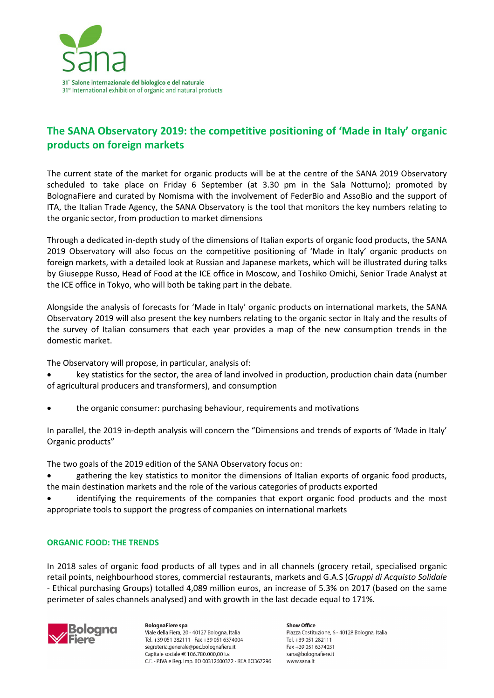

# **The SANA Observatory 2019: the competitive positioning of 'Made in Italy' organic products on foreign markets**

The current state of the market for organic products will be at the centre of the SANA 2019 Observatory scheduled to take place on Friday 6 September (at 3.30 pm in the Sala Notturno); promoted by BolognaFiere and curated by Nomisma with the involvement of FederBio and AssoBio and the support of ITA, the Italian Trade Agency, the SANA Observatory is the tool that monitors the key numbers relating to the organic sector, from production to market dimensions

Through a dedicated in-depth study of the dimensions of Italian exports of organic food products, the SANA 2019 Observatory will also focus on the competitive positioning of 'Made in Italy' organic products on foreign markets, with a detailed look at Russian and Japanese markets, which will be illustrated during talks by Giuseppe Russo, Head of Food at the ICE office in Moscow, and Toshiko Omichi, Senior Trade Analyst at the ICE office in Tokyo, who will both be taking part in the debate.

Alongside the analysis of forecasts for 'Made in Italy' organic products on international markets, the SANA Observatory 2019 will also present the key numbers relating to the organic sector in Italy and the results of the survey of Italian consumers that each year provides a map of the new consumption trends in the domestic market.

The Observatory will propose, in particular, analysis of:

• key statistics for the sector, the area of land involved in production, production chain data (number of agricultural producers and transformers), and consumption

• the organic consumer: purchasing behaviour, requirements and motivations

In parallel, the 2019 in-depth analysis will concern the "Dimensions and trends of exports of 'Made in Italy' Organic products"

The two goals of the 2019 edition of the SANA Observatory focus on:

• gathering the key statistics to monitor the dimensions of Italian exports of organic food products, the main destination markets and the role of the various categories of products exported

identifying the requirements of the companies that export organic food products and the most appropriate tools to support the progress of companies on international markets

## **ORGANIC FOOD: THE TRENDS**

In 2018 sales of organic food products of all types and in all channels (grocery retail, specialised organic retail points, neighbourhood stores, commercial restaurants, markets and G.A.S (*Gruppi di Acquisto Solidale -* Ethical purchasing Groups) totalled 4,089 million euros, an increase of 5.3% on 2017 (based on the same perimeter of sales channels analysed) and with growth in the last decade equal to 171%.



**BolognaFiere spa** Viale della Fiera, 20 - 40127 Bologna, Italia Tel. +39 051 282111 - Fax +39 051 6374004 segreteria.generale@pec.bolognafiere.it Capitale sociale € 106.780.000,00 i.v. C.F. - P.IVA e Reg. Imp. BO 00312600372 - REA BO367296 Show Office Piazza Costituzione, 6 - 40128 Bologna, Italia Tel. +39 051 282111 Fax +39 051 6374031 sana@bolognafiere.it www.sana.it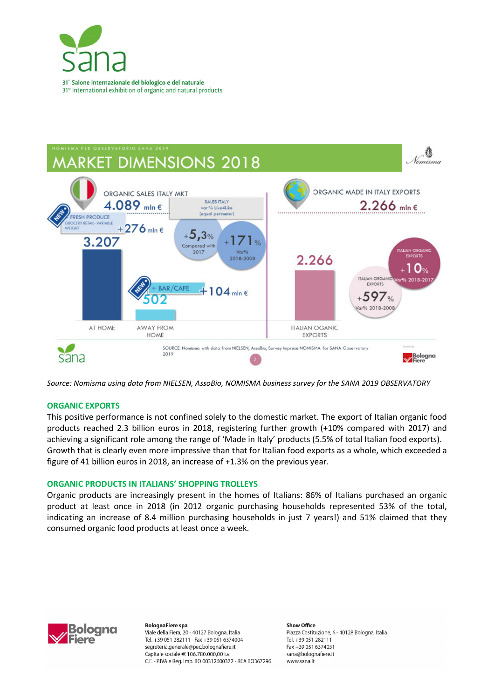



*Source: Nomisma using data from NIELSEN, AssoBio, NOMISMA business survey for the SANA 2019 OBSERVATORY* 

## **ORGANIC EXPORTS**

This positive performance is not confined solely to the domestic market. The export of Italian organic food products reached 2.3 billion euros in 2018, registering further growth (+10% compared with 2017) and achieving a significant role among the range of 'Made in Italy' products (5.5% of total Italian food exports). Growth that is clearly even more impressive than that for Italian food exports as a whole, which exceeded a figure of 41 billion euros in 2018, an increase of +1.3% on the previous year.

### **ORGANIC PRODUCTS IN ITALIANS' SHOPPING TROLLEYS**

Organic products are increasingly present in the homes of Italians: 86% of Italians purchased an organic product at least once in 2018 (in 2012 organic purchasing households represented 53% of the total, indicating an increase of 8.4 million purchasing households in just 7 years!) and 51% claimed that they consumed organic food products at least once a week.



**BolognaFiere spa** Viale della Fiera, 20 - 40127 Bologna, Italia Tel. +39 051 282111 - Fax +39 051 6374004 segreteria.generale@pec.bolognafiere.it Capitale sociale € 106.780.000,00 i.v. C.F. - P.IVA e Reg. Imp. BO 00312600372 - REA BO367296 Show Office Piazza Costituzione, 6 - 40128 Bologna, Italia Tel. +39 051 282111 Fax +39 051 6374031 sana@bolognafiere.it www.sana.it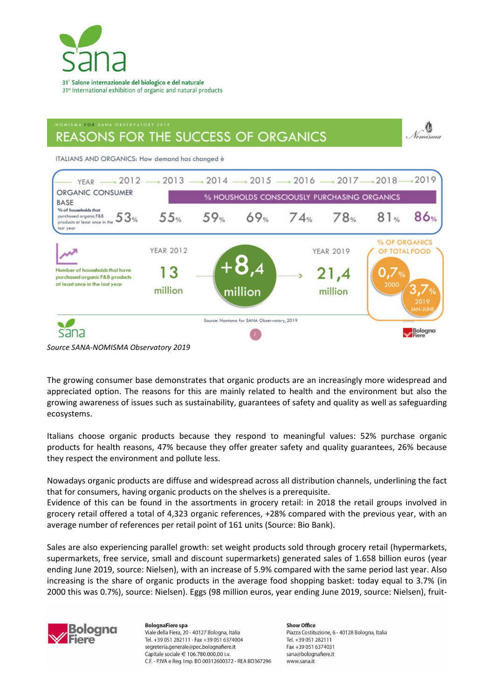

# .<br>NOMISMA FOR SANA ORSERVATORY 2019 **REASONS FOR THE SUCCESS OF ORGANICS**

ITALIANS AND ORGANICS: How demand has changed è



*Source SANA-NOMISMA Observatory 2019* 

The growing consumer base demonstrates that organic products are an increasingly more widespread and appreciated option. The reasons for this are mainly related to health and the environment but also the growing awareness of issues such as sustainability, guarantees of safety and quality as well as safeguarding ecosystems.

Italians choose organic products because they respond to meaningful values: 52% purchase organic products for health reasons, 47% because they offer greater safety and quality guarantees, 26% because they respect the environment and pollute less.

Nowadays organic products are diffuse and widespread across all distribution channels, underlining the fact that for consumers, having organic products on the shelves is a prerequisite.

Evidence of this can be found in the assortments in grocery retail: in 2018 the retail groups involved in grocery retail offered a total of 4,323 organic references, +28% compared with the previous year, with an average number of references per retail point of 161 units (Source: Bio Bank).

Sales are also experiencing parallel growth: set weight products sold through grocery retail (hypermarkets, supermarkets, free service, small and discount supermarkets) generated sales of 1.658 billion euros (year ending June 2019, source: Nielsen), with an increase of 5.9% compared with the same period last year. Also increasing is the share of organic products in the average food shopping basket: today equal to 3.7% (in 2000 this was 0.7%), source: Nielsen). Eggs (98 million euros, year ending June 2019, source: Nielsen), fruit-



**BolognaFiere** spa Viale della Fiera, 20 - 40127 Bologna, Italia Tel. +39 051 282111 - Fax +39 051 6374004 segreteria.generale@pec.bolognafiere.it Capitale sociale € 106.780.000,00 i.v. C.F. - P.IVA e Reg. Imp. BO 00312600372 - REA BO367296 Show Office Piazza Costituzione, 6 - 40128 Bologna, Italia Tel. +39 051 282111 Fax +39 051 6374031 sana@bolognafiere.it www.sana.it

Nomisma